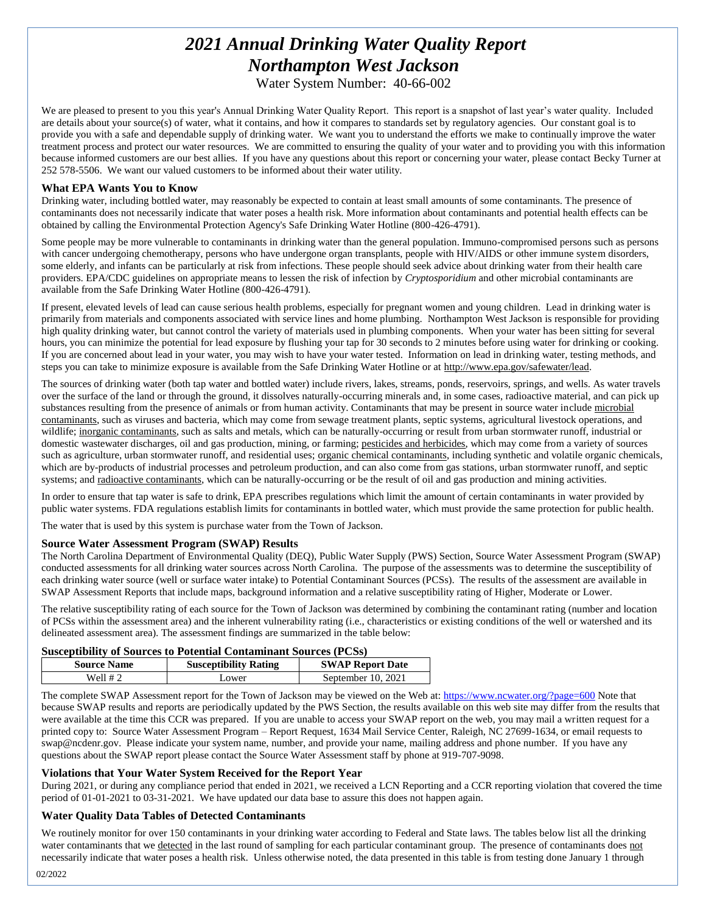# *2021 Annual Drinking Water Quality Report Northampton West Jackson*

Water System Number: 40-66-002

We are pleased to present to you this year's Annual Drinking Water Quality Report. This report is a snapshot of last year's water quality. Included are details about your source(s) of water, what it contains, and how it compares to standards set by regulatory agencies. Our constant goal is to provide you with a safe and dependable supply of drinking water. We want you to understand the efforts we make to continually improve the water treatment process and protect our water resources. We are committed to ensuring the quality of your water and to providing you with this information because informed customers are our best allies. If you have any questions about this report or concerning your water, please contact Becky Turner at 252 578-5506. We want our valued customers to be informed about their water utility.

### **What EPA Wants You to Know**

Drinking water, including bottled water, may reasonably be expected to contain at least small amounts of some contaminants. The presence of contaminants does not necessarily indicate that water poses a health risk. More information about contaminants and potential health effects can be obtained by calling the Environmental Protection Agency's Safe Drinking Water Hotline (800-426-4791).

Some people may be more vulnerable to contaminants in drinking water than the general population. Immuno-compromised persons such as persons with cancer undergoing chemotherapy, persons who have undergone organ transplants, people with HIV/AIDS or other immune system disorders, some elderly, and infants can be particularly at risk from infections. These people should seek advice about drinking water from their health care providers. EPA/CDC guidelines on appropriate means to lessen the risk of infection by *Cryptosporidium* and other microbial contaminants are available from the Safe Drinking Water Hotline (800-426-4791).

If present, elevated levels of lead can cause serious health problems, especially for pregnant women and young children. Lead in drinking water is primarily from materials and components associated with service lines and home plumbing. Northampton West Jackson is responsible for providing high quality drinking water, but cannot control the variety of materials used in plumbing components. When your water has been sitting for several hours, you can minimize the potential for lead exposure by flushing your tap for 30 seconds to 2 minutes before using water for drinking or cooking. If you are concerned about lead in your water, you may wish to have your water tested. Information on lead in drinking water, testing methods, and steps you can take to minimize exposure is available from the Safe Drinking Water Hotline or at [http://www.epa.gov/safewater/lead.](http://www.epa.gov/safewater/lead)

The sources of drinking water (both tap water and bottled water) include rivers, lakes, streams, ponds, reservoirs, springs, and wells. As water travels over the surface of the land or through the ground, it dissolves naturally-occurring minerals and, in some cases, radioactive material, and can pick up substances resulting from the presence of animals or from human activity. Contaminants that may be present in source water include microbial contaminants, such as viruses and bacteria, which may come from sewage treatment plants, septic systems, agricultural livestock operations, and wildlife; inorganic contaminants, such as salts and metals, which can be naturally-occurring or result from urban stormwater runoff, industrial or domestic wastewater discharges, oil and gas production, mining, or farming; pesticides and herbicides, which may come from a variety of sources such as agriculture, urban stormwater runoff, and residential uses; organic chemical contaminants, including synthetic and volatile organic chemicals, which are by-products of industrial processes and petroleum production, and can also come from gas stations, urban stormwater runoff, and septic systems; and radioactive contaminants, which can be naturally-occurring or be the result of oil and gas production and mining activities.

In order to ensure that tap water is safe to drink, EPA prescribes regulations which limit the amount of certain contaminants in water provided by public water systems. FDA regulations establish limits for contaminants in bottled water, which must provide the same protection for public health.

The water that is used by this system is purchase water from the Town of Jackson.

### **Source Water Assessment Program (SWAP) Results**

The North Carolina Department of Environmental Quality (DEQ), Public Water Supply (PWS) Section, Source Water Assessment Program (SWAP) conducted assessments for all drinking water sources across North Carolina. The purpose of the assessments was to determine the susceptibility of each drinking water source (well or surface water intake) to Potential Contaminant Sources (PCSs). The results of the assessment are available in SWAP Assessment Reports that include maps, background information and a relative susceptibility rating of Higher, Moderate or Lower.

The relative susceptibility rating of each source for the Town of Jackson was determined by combining the contaminant rating (number and location of PCSs within the assessment area) and the inherent vulnerability rating (i.e., characteristics or existing conditions of the well or watershed and its delineated assessment area). The assessment findings are summarized in the table below:

### **Susceptibility of Sources to Potential Contaminant Sources (PCSs)**

| <b>Source Name</b> | <b>Susceptibility Rating</b> | <b>SWAP Report Date</b> |
|--------------------|------------------------------|-------------------------|
| Well # 2           | ∟ower                        | September 10, 2021      |

The complete SWAP Assessment report for the Town of Jackson may be viewed on the Web at[: https://www.ncwater.org/?page=600](https://www.ncwater.org/?page=600) Note that because SWAP results and reports are periodically updated by the PWS Section, the results available on this web site may differ from the results that were available at the time this CCR was prepared. If you are unable to access your SWAP report on the web, you may mail a written request for a printed copy to: Source Water Assessment Program – Report Request, 1634 Mail Service Center, Raleigh, NC 27699-1634, or email requests to swap@ncdenr.gov. Please indicate your system name, number, and provide your name, mailing address and phone number. If you have any questions about the SWAP report please contact the Source Water Assessment staff by phone at 919-707-9098.

### **Violations that Your Water System Received for the Report Year**

During 2021, or during any compliance period that ended in 2021, we received a LCN Reporting and a CCR reporting violation that covered the time period of 01-01-2021 to 03-31-2021*.* We have updated our data base to assure this does not happen again.

### **Water Quality Data Tables of Detected Contaminants**

We routinely monitor for over 150 contaminants in your drinking water according to Federal and State laws. The tables below list all the drinking water contaminants that we detected in the last round of sampling for each particular contaminant group. The presence of contaminants does not necessarily indicate that water poses a health risk. Unless otherwise noted, the data presented in this table is from testing done January 1 through